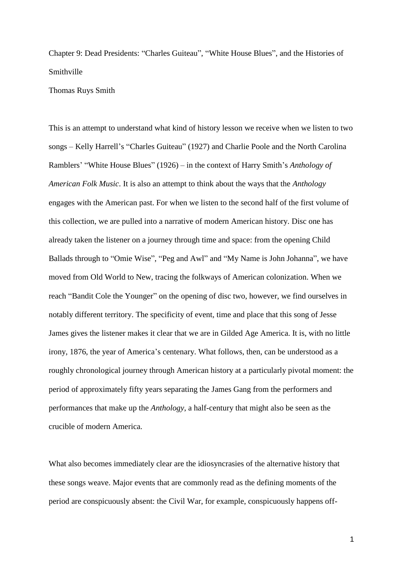Chapter 9: Dead Presidents: "Charles Guiteau", "White House Blues", and the Histories of Smithville

Thomas Ruys Smith

This is an attempt to understand what kind of history lesson we receive when we listen to two songs – Kelly Harrell's "Charles Guiteau" (1927) and Charlie Poole and the North Carolina Ramblers' "White House Blues" (1926) – in the context of Harry Smith's *Anthology of American Folk Music*. It is also an attempt to think about the ways that the *Anthology* engages with the American past. For when we listen to the second half of the first volume of this collection, we are pulled into a narrative of modern American history. Disc one has already taken the listener on a journey through time and space: from the opening Child Ballads through to "Omie Wise", "Peg and Awl" and "My Name is John Johanna", we have moved from Old World to New, tracing the folkways of American colonization. When we reach "Bandit Cole the Younger" on the opening of disc two, however, we find ourselves in notably different territory. The specificity of event, time and place that this song of Jesse James gives the listener makes it clear that we are in Gilded Age America. It is, with no little irony, 1876, the year of America's centenary. What follows, then, can be understood as a roughly chronological journey through American history at a particularly pivotal moment: the period of approximately fifty years separating the James Gang from the performers and performances that make up the *Anthology*, a half-century that might also be seen as the crucible of modern America.

What also becomes immediately clear are the idiosyncrasies of the alternative history that these songs weave. Major events that are commonly read as the defining moments of the period are conspicuously absent: the Civil War, for example, conspicuously happens off-

1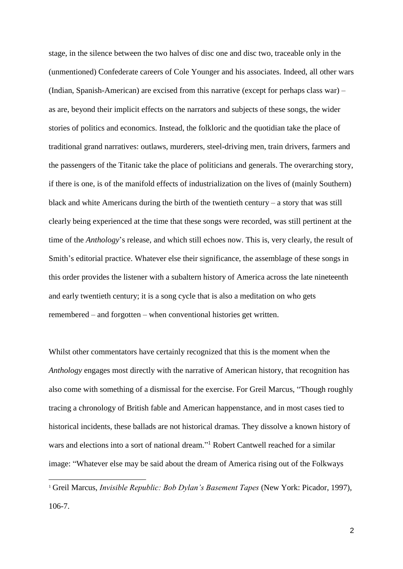stage, in the silence between the two halves of disc one and disc two, traceable only in the (unmentioned) Confederate careers of Cole Younger and his associates. Indeed, all other wars (Indian, Spanish-American) are excised from this narrative (except for perhaps class war) – as are, beyond their implicit effects on the narrators and subjects of these songs, the wider stories of politics and economics. Instead, the folkloric and the quotidian take the place of traditional grand narratives: outlaws, murderers, steel-driving men, train drivers, farmers and the passengers of the Titanic take the place of politicians and generals. The overarching story, if there is one, is of the manifold effects of industrialization on the lives of (mainly Southern) black and white Americans during the birth of the twentieth century – a story that was still clearly being experienced at the time that these songs were recorded, was still pertinent at the time of the *Anthology*'s release, and which still echoes now. This is, very clearly, the result of Smith's editorial practice. Whatever else their significance, the assemblage of these songs in this order provides the listener with a subaltern history of America across the late nineteenth and early twentieth century; it is a song cycle that is also a meditation on who gets remembered – and forgotten – when conventional histories get written.

Whilst other commentators have certainly recognized that this is the moment when the *Anthology* engages most directly with the narrative of American history, that recognition has also come with something of a dismissal for the exercise. For Greil Marcus, "Though roughly tracing a chronology of British fable and American happenstance, and in most cases tied to historical incidents, these ballads are not historical dramas. They dissolve a known history of wars and elections into a sort of national dream."<sup>1</sup> Robert Cantwell reached for a similar image: "Whatever else may be said about the dream of America rising out of the Folkways

<sup>1</sup> Greil Marcus, *Invisible Republic: Bob Dylan's Basement Tapes* (New York: Picador, 1997), 106-7.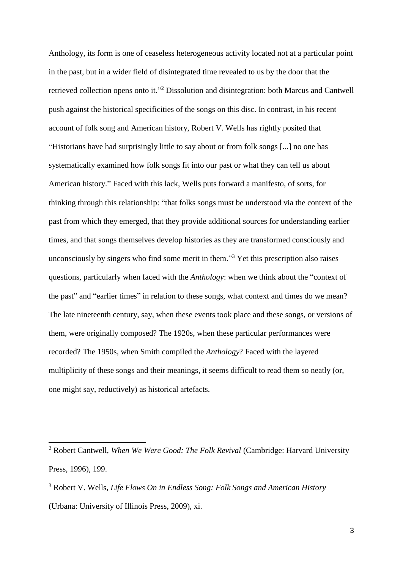Anthology, its form is one of ceaseless heterogeneous activity located not at a particular point in the past, but in a wider field of disintegrated time revealed to us by the door that the retrieved collection opens onto it."<sup>2</sup> Dissolution and disintegration: both Marcus and Cantwell push against the historical specificities of the songs on this disc. In contrast, in his recent account of folk song and American history, Robert V. Wells has rightly posited that "Historians have had surprisingly little to say about or from folk songs [...] no one has systematically examined how folk songs fit into our past or what they can tell us about American history." Faced with this lack, Wells puts forward a manifesto, of sorts, for thinking through this relationship: "that folks songs must be understood via the context of the past from which they emerged, that they provide additional sources for understanding earlier times, and that songs themselves develop histories as they are transformed consciously and unconsciously by singers who find some merit in them." <sup>3</sup> Yet this prescription also raises questions, particularly when faced with the *Anthology*: when we think about the "context of the past" and "earlier times" in relation to these songs, what context and times do we mean? The late nineteenth century, say, when these events took place and these songs, or versions of them, were originally composed? The 1920s, when these particular performances were recorded? The 1950s, when Smith compiled the *Anthology*? Faced with the layered multiplicity of these songs and their meanings, it seems difficult to read them so neatly (or, one might say, reductively) as historical artefacts.

<sup>2</sup> Robert Cantwell, *When We Were Good: The Folk Revival* (Cambridge: Harvard University Press, 1996), 199.

<sup>3</sup> Robert V. Wells, *Life Flows On in Endless Song: Folk Songs and American History* (Urbana: University of Illinois Press, 2009), xi.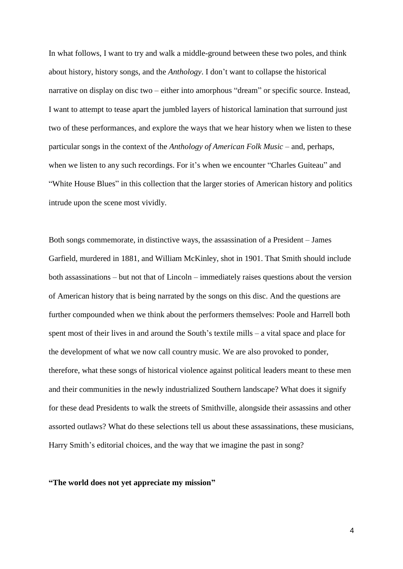In what follows, I want to try and walk a middle-ground between these two poles, and think about history, history songs, and the *Anthology*. I don't want to collapse the historical narrative on display on disc two – either into amorphous "dream" or specific source. Instead, I want to attempt to tease apart the jumbled layers of historical lamination that surround just two of these performances, and explore the ways that we hear history when we listen to these particular songs in the context of the *Anthology of American Folk Music* – and, perhaps, when we listen to any such recordings. For it's when we encounter "Charles Guiteau" and "White House Blues" in this collection that the larger stories of American history and politics intrude upon the scene most vividly.

Both songs commemorate, in distinctive ways, the assassination of a President – James Garfield, murdered in 1881, and William McKinley, shot in 1901. That Smith should include both assassinations – but not that of Lincoln – immediately raises questions about the version of American history that is being narrated by the songs on this disc. And the questions are further compounded when we think about the performers themselves: Poole and Harrell both spent most of their lives in and around the South's textile mills – a vital space and place for the development of what we now call country music. We are also provoked to ponder, therefore, what these songs of historical violence against political leaders meant to these men and their communities in the newly industrialized Southern landscape? What does it signify for these dead Presidents to walk the streets of Smithville, alongside their assassins and other assorted outlaws? What do these selections tell us about these assassinations, these musicians, Harry Smith's editorial choices, and the way that we imagine the past in song?

## **"The world does not yet appreciate my mission"**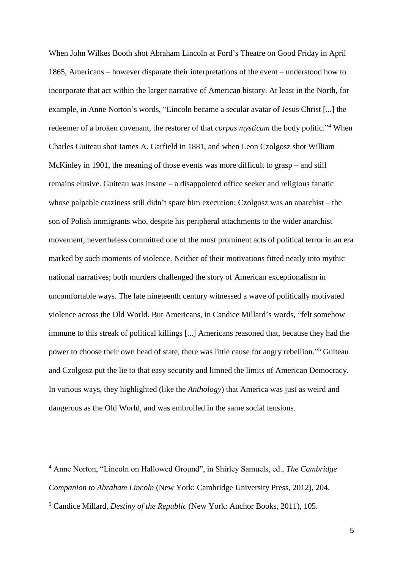When John Wilkes Booth shot Abraham Lincoln at Ford's Theatre on Good Friday in April 1865, Americans – however disparate their interpretations of the event – understood how to incorporate that act within the larger narrative of American history. At least in the North, for example, in Anne Norton's words, "Lincoln became a secular avatar of Jesus Christ [...] the redeemer of a broken covenant, the restorer of that *corpus mysticum* the body politic."<sup>4</sup> When Charles Guiteau shot James A. Garfield in 1881, and when Leon Czolgosz shot William McKinley in 1901, the meaning of those events was more difficult to grasp – and still remains elusive. Guiteau was insane – a disappointed office seeker and religious fanatic whose palpable craziness still didn't spare him execution; Czolgosz was an anarchist – the son of Polish immigrants who, despite his peripheral attachments to the wider anarchist movement, nevertheless committed one of the most prominent acts of political terror in an era marked by such moments of violence. Neither of their motivations fitted neatly into mythic national narratives; both murders challenged the story of American exceptionalism in uncomfortable ways. The late nineteenth century witnessed a wave of politically motivated violence across the Old World. But Americans, in Candice Millard's words, "felt somehow immune to this streak of political killings [...] Americans reasoned that, because they had the power to choose their own head of state, there was little cause for angry rebellion."<sup>5</sup> Guiteau and Czolgosz put the lie to that easy security and limned the limits of American Democracy. In various ways, they highlighted (like the *Anthology*) that America was just as weird and dangerous as the Old World, and was embroiled in the same social tensions.

<sup>4</sup> Anne Norton, "Lincoln on Hallowed Ground", in Shirley Samuels, ed., *The Cambridge Companion to Abraham Lincoln* (New York: Cambridge University Press, 2012), 204.

<sup>5</sup> Candice Millard, *Destiny of the Republic* (New York: Anchor Books, 2011), 105.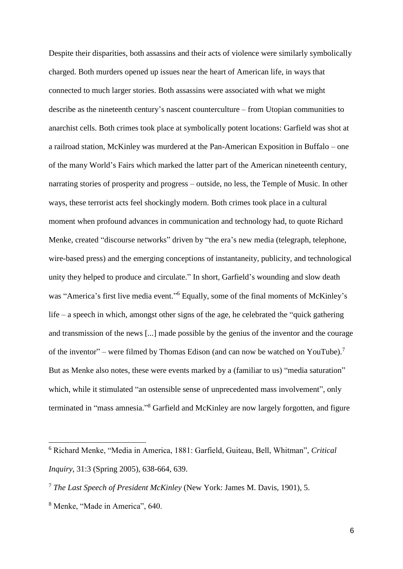Despite their disparities, both assassins and their acts of violence were similarly symbolically charged. Both murders opened up issues near the heart of American life, in ways that connected to much larger stories. Both assassins were associated with what we might describe as the nineteenth century's nascent counterculture – from Utopian communities to anarchist cells. Both crimes took place at symbolically potent locations: Garfield was shot at a railroad station, McKinley was murdered at the Pan-American Exposition in Buffalo – one of the many World's Fairs which marked the latter part of the American nineteenth century, narrating stories of prosperity and progress – outside, no less, the Temple of Music. In other ways, these terrorist acts feel shockingly modern. Both crimes took place in a cultural moment when profound advances in communication and technology had, to quote Richard Menke, created "discourse networks" driven by "the era's new media (telegraph, telephone, wire-based press) and the emerging conceptions of instantaneity, publicity, and technological unity they helped to produce and circulate." In short, Garfield's wounding and slow death was "America's first live media event."<sup>6</sup> Equally, some of the final moments of McKinley's life – a speech in which, amongst other signs of the age, he celebrated the "quick gathering and transmission of the news [...] made possible by the genius of the inventor and the courage of the inventor" – were filmed by Thomas Edison (and can now be watched on YouTube).<sup>7</sup> But as Menke also notes, these were events marked by a (familiar to us) "media saturation" which, while it stimulated "an ostensible sense of unprecedented mass involvement", only terminated in "mass amnesia."<sup>8</sup> Garfield and McKinley are now largely forgotten, and figure

<sup>6</sup> Richard Menke, "Media in America, 1881: Garfield, Guiteau, Bell, Whitman", *Critical Inquiry*, 31:3 (Spring 2005), 638-664, 639.

<sup>7</sup> *The Last Speech of President McKinley* (New York: James M. Davis, 1901), 5.

<sup>8</sup> Menke, "Made in America", 640.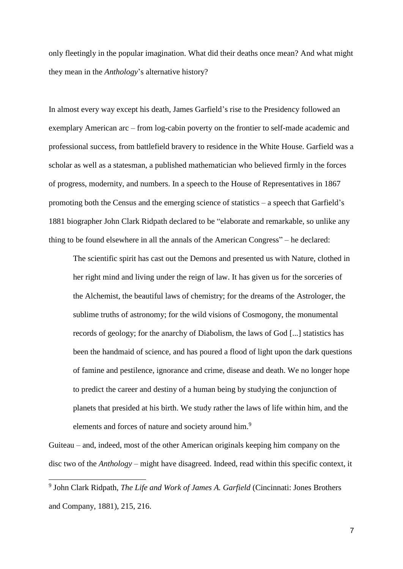only fleetingly in the popular imagination. What did their deaths once mean? And what might they mean in the *Anthology*'s alternative history?

In almost every way except his death, James Garfield's rise to the Presidency followed an exemplary American arc – from log-cabin poverty on the frontier to self-made academic and professional success, from battlefield bravery to residence in the White House. Garfield was a scholar as well as a statesman, a published mathematician who believed firmly in the forces of progress, modernity, and numbers. In a speech to the House of Representatives in 1867 promoting both the Census and the emerging science of statistics – a speech that Garfield's 1881 biographer John Clark Ridpath declared to be "elaborate and remarkable, so unlike any thing to be found elsewhere in all the annals of the American Congress" – he declared:

The scientific spirit has cast out the Demons and presented us with Nature, clothed in her right mind and living under the reign of law. It has given us for the sorceries of the Alchemist, the beautiful laws of chemistry; for the dreams of the Astrologer, the sublime truths of astronomy; for the wild visions of Cosmogony, the monumental records of geology; for the anarchy of Diabolism, the laws of God [...] statistics has been the handmaid of science, and has poured a flood of light upon the dark questions of famine and pestilence, ignorance and crime, disease and death. We no longer hope to predict the career and destiny of a human being by studying the conjunction of planets that presided at his birth. We study rather the laws of life within him, and the elements and forces of nature and society around him.<sup>9</sup>

Guiteau – and, indeed, most of the other American originals keeping him company on the disc two of the *Anthology* – might have disagreed. Indeed, read within this specific context, it

<sup>9</sup> John Clark Ridpath, *The Life and Work of James A. Garfield* (Cincinnati: Jones Brothers and Company, 1881), 215, 216.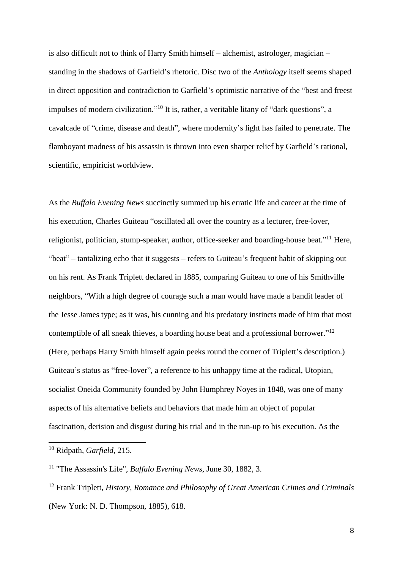is also difficult not to think of Harry Smith himself – alchemist, astrologer, magician – standing in the shadows of Garfield's rhetoric. Disc two of the *Anthology* itself seems shaped in direct opposition and contradiction to Garfield's optimistic narrative of the "best and freest impulses of modern civilization."<sup>10</sup> It is, rather, a veritable litany of "dark questions", a cavalcade of "crime, disease and death", where modernity's light has failed to penetrate. The flamboyant madness of his assassin is thrown into even sharper relief by Garfield's rational, scientific, empiricist worldview.

As the *Buffalo Evening News* succinctly summed up his erratic life and career at the time of his execution, Charles Guiteau "oscillated all over the country as a lecturer, free-lover, religionist, politician, stump-speaker, author, office-seeker and boarding-house beat."<sup>11</sup> Here, "beat" – tantalizing echo that it suggests – refers to Guiteau's frequent habit of skipping out on his rent. As Frank Triplett declared in 1885, comparing Guiteau to one of his Smithville neighbors, "With a high degree of courage such a man would have made a bandit leader of the Jesse James type; as it was, his cunning and his predatory instincts made of him that most contemptible of all sneak thieves, a boarding house beat and a professional borrower."<sup>12</sup> (Here, perhaps Harry Smith himself again peeks round the corner of Triplett's description.) Guiteau's status as "free-lover", a reference to his unhappy time at the radical, Utopian, socialist Oneida Community founded by John Humphrey Noyes in 1848, was one of many aspects of his alternative beliefs and behaviors that made him an object of popular fascination, derision and disgust during his trial and in the run-up to his execution. As the

<sup>10</sup> Ridpath, *Garfield*, 215.

<sup>11</sup> "The Assassin's Life", *Buffalo Evening News,* June 30, 1882, 3.

<sup>12</sup> Frank Triplett, *History, Romance and Philosophy of Great American Crimes and Criminals* (New York: N. D. Thompson, 1885), 618.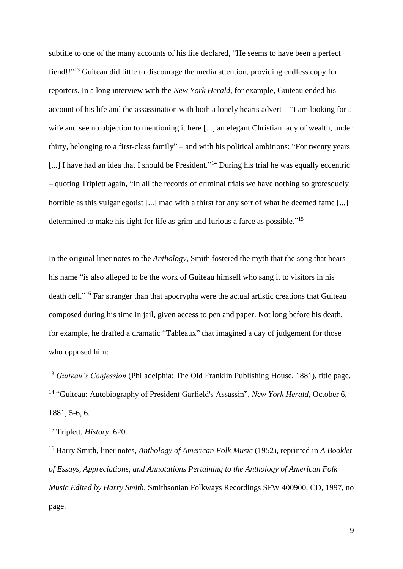subtitle to one of the many accounts of his life declared, "He seems to have been a perfect fiend!!"<sup>13</sup> Guiteau did little to discourage the media attention, providing endless copy for reporters. In a long interview with the *New York Herald*, for example, Guiteau ended his account of his life and the assassination with both a lonely hearts advert – "I am looking for a wife and see no objection to mentioning it here [...] an elegant Christian lady of wealth, under thirty, belonging to a first-class family" – and with his political ambitions: "For twenty years [...] I have had an idea that I should be President."<sup>14</sup> During his trial he was equally eccentric – quoting Triplett again, "In all the records of criminal trials we have nothing so grotesquely horrible as this vulgar egotist [...] mad with a thirst for any sort of what he deemed fame [...] determined to make his fight for life as grim and furious a farce as possible."<sup>15</sup>

In the original liner notes to the *Anthology*, Smith fostered the myth that the song that bears his name "is also alleged to be the work of Guiteau himself who sang it to visitors in his death cell."<sup>16</sup> Far stranger than that apocrypha were the actual artistic creations that Guiteau composed during his time in jail, given access to pen and paper. Not long before his death, for example, he drafted a dramatic "Tableaux" that imagined a day of judgement for those who opposed him:

<sup>13</sup> *Guiteau's Confession* (Philadelphia: The Old Franklin Publishing House, 1881), title page. <sup>14</sup> "Guiteau: Autobiography of President Garfield's Assassin", *New York Herald*, October 6, 1881, 5-6, 6.

<sup>15</sup> Triplett, *History*, 620.

-

<sup>16</sup> Harry Smith, liner notes, *Anthology of American Folk Music* (1952), reprinted in *A Booklet of Essays, Appreciations, and Annotations Pertaining to the Anthology of American Folk Music Edited by Harry Smith*, Smithsonian Folkways Recordings SFW 400900, CD, 1997, no page.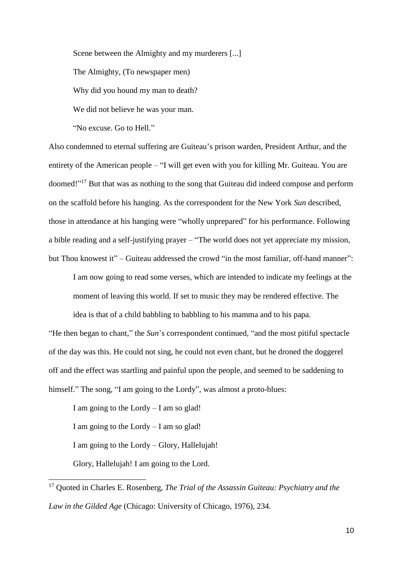Scene between the Almighty and my murderers [...] The Almighty, (To newspaper men) Why did you hound my man to death? We did not believe he was your man.

"No excuse. Go to Hell."

Also condemned to eternal suffering are Guiteau's prison warden, President Arthur, and the entirety of the American people – "I will get even with you for killing Mr. Guiteau. You are doomed!"<sup>17</sup> But that was as nothing to the song that Guiteau did indeed compose and perform on the scaffold before his hanging. As the correspondent for the New York *Sun* described, those in attendance at his hanging were "wholly unprepared" for his performance. Following a bible reading and a self-justifying prayer – "The world does not yet appreciate my mission, but Thou knowest it" – Guiteau addressed the crowd "in the most familiar, off-hand manner":

I am now going to read some verses, which are intended to indicate my feelings at the moment of leaving this world. If set to music they may be rendered effective. The

idea is that of a child babbling to babbling to his mamma and to his papa. "He then began to chant," the *Sun*'s correspondent continued, "and the most pitiful spectacle of the day was this. He could not sing, he could not even chant, but he droned the doggerel off and the effect was startling and painful upon the people, and seemed to be saddening to himself." The song, "I am going to the Lordy", was almost a proto-blues:

I am going to the Lordy – I am so glad! I am going to the Lordy – I am so glad! I am going to the Lordy – Glory, Hallelujah! Glory, Hallelujah! I am going to the Lord.

<sup>17</sup> Quoted in Charles E. Rosenberg, *The Trial of the Assassin Guiteau: Psychiatry and the Law in the Gilded Age* (Chicago: University of Chicago, 1976), 234.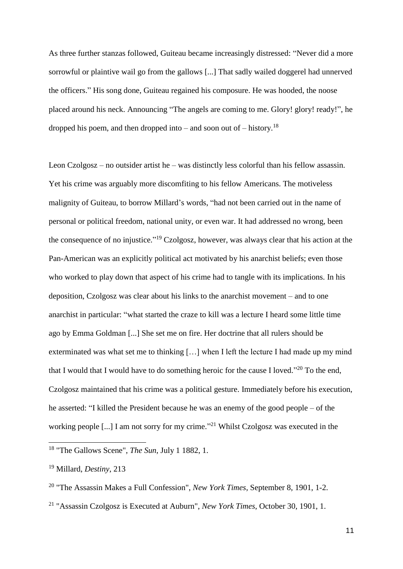As three further stanzas followed, Guiteau became increasingly distressed: "Never did a more sorrowful or plaintive wail go from the gallows [...] That sadly wailed doggerel had unnerved the officers." His song done, Guiteau regained his composure. He was hooded, the noose placed around his neck. Announcing "The angels are coming to me. Glory! glory! ready!", he dropped his poem, and then dropped into – and soon out of – history.<sup>18</sup>

Leon Czolgosz – no outsider artist he – was distinctly less colorful than his fellow assassin. Yet his crime was arguably more discomfiting to his fellow Americans. The motiveless malignity of Guiteau, to borrow Millard's words, "had not been carried out in the name of personal or political freedom, national unity, or even war. It had addressed no wrong, been the consequence of no injustice."<sup>19</sup> Czolgosz, however, was always clear that his action at the Pan-American was an explicitly political act motivated by his anarchist beliefs; even those who worked to play down that aspect of his crime had to tangle with its implications. In his deposition, Czolgosz was clear about his links to the anarchist movement – and to one anarchist in particular: "what started the craze to kill was a lecture I heard some little time ago by Emma Goldman [...] She set me on fire. Her doctrine that all rulers should be exterminated was what set me to thinking […] when I left the lecture I had made up my mind that I would that I would have to do something heroic for the cause I loved."<sup>20</sup> To the end, Czolgosz maintained that his crime was a political gesture. Immediately before his execution, he asserted: "I killed the President because he was an enemy of the good people – of the working people [...] I am not sorry for my crime."<sup>21</sup> Whilst Czolgosz was executed in the

<sup>18</sup> "The Gallows Scene", *The Sun*, July 1 1882, 1.

<sup>19</sup> Millard, *Destiny*, 213

<sup>20</sup> "The Assassin Makes a Full Confession", *New York Times*, September 8, 1901, 1-2.

<sup>21</sup> "Assassin Czolgosz is Executed at Auburn", *New York Times*, October 30, 1901, 1.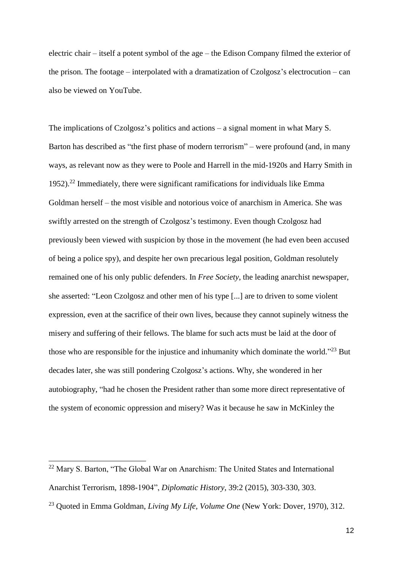electric chair – itself a potent symbol of the age – the Edison Company filmed the exterior of the prison. The footage – interpolated with a dramatization of Czolgosz's electrocution – can also be viewed on YouTube.

The implications of Czolgosz's politics and actions – a signal moment in what Mary S. Barton has described as "the first phase of modern terrorism" – were profound (and, in many ways, as relevant now as they were to Poole and Harrell in the mid-1920s and Harry Smith in 1952).<sup>22</sup> Immediately, there were significant ramifications for individuals like Emma Goldman herself – the most visible and notorious voice of anarchism in America. She was swiftly arrested on the strength of Czolgosz's testimony. Even though Czolgosz had previously been viewed with suspicion by those in the movement (he had even been accused of being a police spy), and despite her own precarious legal position, Goldman resolutely remained one of his only public defenders. In *Free Society*, the leading anarchist newspaper, she asserted: "Leon Czolgosz and other men of his type [...] are to driven to some violent expression, even at the sacrifice of their own lives, because they cannot supinely witness the misery and suffering of their fellows. The blame for such acts must be laid at the door of those who are responsible for the injustice and inhumanity which dominate the world."<sup>23</sup> But decades later, she was still pondering Czolgosz's actions. Why, she wondered in her autobiography, "had he chosen the President rather than some more direct representative of the system of economic oppression and misery? Was it because he saw in McKinley the

<sup>&</sup>lt;sup>22</sup> Mary S. Barton, "The Global War on Anarchism: The United States and International Anarchist Terrorism, 1898-1904", *Diplomatic History*, 39:2 (2015), 303-330, 303.

<sup>23</sup> Quoted in Emma Goldman, *Living My Life, Volume One* (New York: Dover, 1970), 312.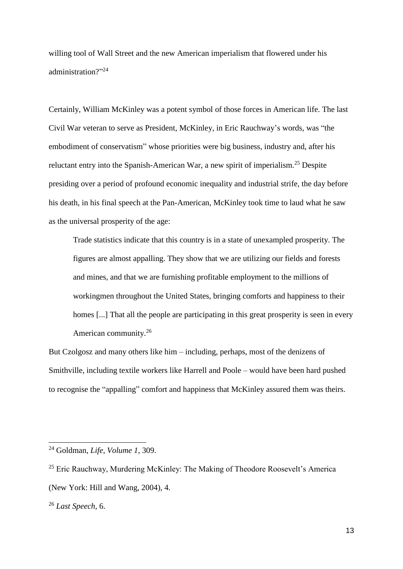willing tool of Wall Street and the new American imperialism that flowered under his administration?" 24

Certainly, William McKinley was a potent symbol of those forces in American life. The last Civil War veteran to serve as President, McKinley, in Eric Rauchway's words, was "the embodiment of conservatism" whose priorities were big business, industry and, after his reluctant entry into the Spanish-American War, a new spirit of imperialism.<sup>25</sup> Despite presiding over a period of profound economic inequality and industrial strife, the day before his death, in his final speech at the Pan-American, McKinley took time to laud what he saw as the universal prosperity of the age:

Trade statistics indicate that this country is in a state of unexampled prosperity. The figures are almost appalling. They show that we are utilizing our fields and forests and mines, and that we are furnishing profitable employment to the millions of workingmen throughout the United States, bringing comforts and happiness to their homes [...] That all the people are participating in this great prosperity is seen in every American community.<sup>26</sup>

But Czolgosz and many others like him – including, perhaps, most of the denizens of Smithville, including textile workers like Harrell and Poole – would have been hard pushed to recognise the "appalling" comfort and happiness that McKinley assured them was theirs.

<sup>24</sup> Goldman, *Life, Volume 1*, 309.

<sup>&</sup>lt;sup>25</sup> Eric Rauchway, Murdering McKinley: The Making of Theodore Roosevelt's America (New York: Hill and Wang, 2004), 4.

<sup>26</sup> *Last Speech*, 6.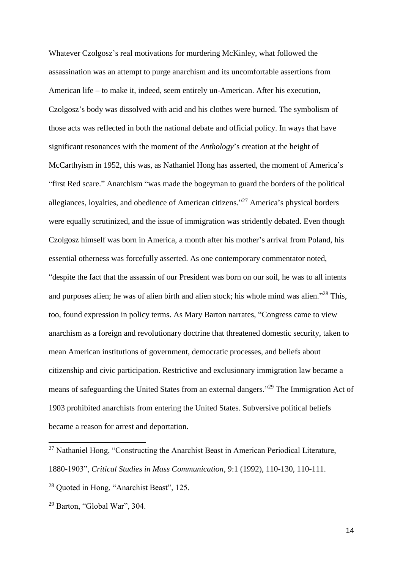Whatever Czolgosz's real motivations for murdering McKinley, what followed the assassination was an attempt to purge anarchism and its uncomfortable assertions from American life – to make it, indeed, seem entirely un-American. After his execution, Czolgosz's body was dissolved with acid and his clothes were burned. The symbolism of those acts was reflected in both the national debate and official policy. In ways that have significant resonances with the moment of the *Anthology*'s creation at the height of McCarthyism in 1952, this was, as Nathaniel Hong has asserted, the moment of America's "first Red scare." Anarchism "was made the bogeyman to guard the borders of the political allegiances, loyalties, and obedience of American citizens." <sup>27</sup> America's physical borders were equally scrutinized, and the issue of immigration was stridently debated. Even though Czolgosz himself was born in America, a month after his mother's arrival from Poland, his essential otherness was forcefully asserted. As one contemporary commentator noted, "despite the fact that the assassin of our President was born on our soil, he was to all intents and purposes alien; he was of alien birth and alien stock; his whole mind was alien."<sup>28</sup> This, too, found expression in policy terms. As Mary Barton narrates, "Congress came to view anarchism as a foreign and revolutionary doctrine that threatened domestic security, taken to mean American institutions of government, democratic processes, and beliefs about citizenship and civic participation. Restrictive and exclusionary immigration law became a means of safeguarding the United States from an external dangers."<sup>29</sup> The Immigration Act of 1903 prohibited anarchists from entering the United States. Subversive political beliefs became a reason for arrest and deportation.

 $27$  Nathaniel Hong, "Constructing the Anarchist Beast in American Periodical Literature, 1880-1903", *Critical Studies in Mass Communication*, 9:1 (1992), 110-130, 110-111.

<sup>28</sup> Quoted in Hong, "Anarchist Beast", 125.

<sup>29</sup> Barton, "Global War", 304.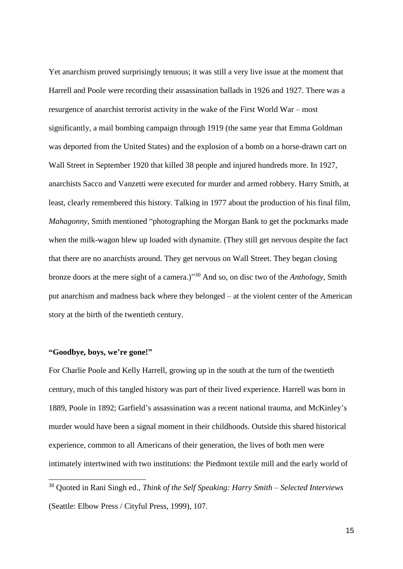Yet anarchism proved surprisingly tenuous; it was still a very live issue at the moment that Harrell and Poole were recording their assassination ballads in 1926 and 1927. There was a resurgence of anarchist terrorist activity in the wake of the First World War – most significantly, a mail bombing campaign through 1919 (the same year that Emma Goldman was deported from the United States) and the explosion of a bomb on a horse-drawn cart on Wall Street in September 1920 that killed 38 people and injured hundreds more. In 1927, anarchists Sacco and Vanzetti were executed for murder and armed robbery. Harry Smith, at least, clearly remembered this history. Talking in 1977 about the production of his final film, *Mahagonny*, Smith mentioned "photographing the Morgan Bank to get the pockmarks made when the milk-wagon blew up loaded with dynamite. (They still get nervous despite the fact that there are no anarchists around. They get nervous on Wall Street. They began closing bronze doors at the mere sight of a camera.)" <sup>30</sup> And so, on disc two of the *Anthology*, Smith put anarchism and madness back where they belonged – at the violent center of the American story at the birth of the twentieth century.

## **"Goodbye, boys, we're gone!"**

-

For Charlie Poole and Kelly Harrell, growing up in the south at the turn of the twentieth century, much of this tangled history was part of their lived experience. Harrell was born in 1889, Poole in 1892; Garfield's assassination was a recent national trauma, and McKinley's murder would have been a signal moment in their childhoods. Outside this shared historical experience, common to all Americans of their generation, the lives of both men were intimately intertwined with two institutions: the Piedmont textile mill and the early world of

<sup>30</sup> Quoted in Rani Singh ed., *Think of the Self Speaking: Harry Smith – Selected Interviews* (Seattle: Elbow Press / Cityful Press, 1999), 107.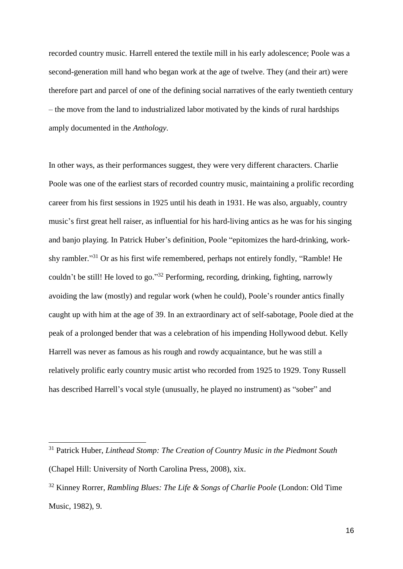recorded country music. Harrell entered the textile mill in his early adolescence; Poole was a second-generation mill hand who began work at the age of twelve. They (and their art) were therefore part and parcel of one of the defining social narratives of the early twentieth century – the move from the land to industrialized labor motivated by the kinds of rural hardships amply documented in the *Anthology*.

In other ways, as their performances suggest, they were very different characters. Charlie Poole was one of the earliest stars of recorded country music, maintaining a prolific recording career from his first sessions in 1925 until his death in 1931. He was also, arguably, country music's first great hell raiser, as influential for his hard-living antics as he was for his singing and banjo playing. In Patrick Huber's definition, Poole "epitomizes the hard-drinking, workshy rambler."<sup>31</sup> Or as his first wife remembered, perhaps not entirely fondly, "Ramble! He couldn't be still! He loved to go."<sup>32</sup> Performing, recording, drinking, fighting, narrowly avoiding the law (mostly) and regular work (when he could), Poole's rounder antics finally caught up with him at the age of 39. In an extraordinary act of self-sabotage, Poole died at the peak of a prolonged bender that was a celebration of his impending Hollywood debut. Kelly Harrell was never as famous as his rough and rowdy acquaintance, but he was still a relatively prolific early country music artist who recorded from 1925 to 1929. Tony Russell has described Harrell's vocal style (unusually, he played no instrument) as "sober" and

<sup>31</sup> Patrick Huber, *Linthead Stomp: The Creation of Country Music in the Piedmont South* (Chapel Hill: University of North Carolina Press, 2008), xix.

<sup>32</sup> Kinney Rorrer, *Rambling Blues: The Life & Songs of Charlie Poole* (London: Old Time Music, 1982), 9.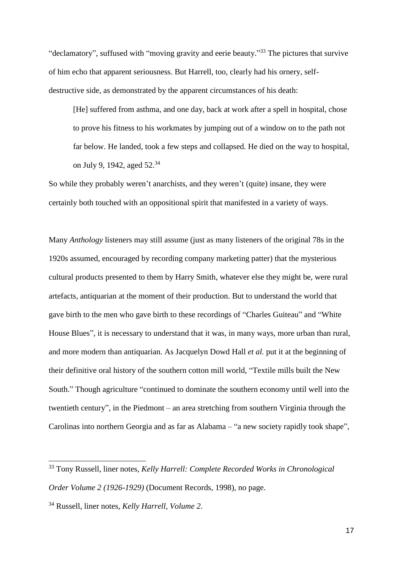"declamatory", suffused with "moving gravity and eerie beauty."<sup>33</sup> The pictures that survive of him echo that apparent seriousness. But Harrell, too, clearly had his ornery, selfdestructive side, as demonstrated by the apparent circumstances of his death:

[He] suffered from asthma, and one day, back at work after a spell in hospital, chose to prove his fitness to his workmates by jumping out of a window on to the path not far below. He landed, took a few steps and collapsed. He died on the way to hospital, on July 9, 1942, aged 52.<sup>34</sup>

So while they probably weren't anarchists, and they weren't (quite) insane, they were certainly both touched with an oppositional spirit that manifested in a variety of ways.

Many *Anthology* listeners may still assume (just as many listeners of the original 78s in the 1920s assumed, encouraged by recording company marketing patter) that the mysterious cultural products presented to them by Harry Smith, whatever else they might be, were rural artefacts, antiquarian at the moment of their production. But to understand the world that gave birth to the men who gave birth to these recordings of "Charles Guiteau" and "White House Blues", it is necessary to understand that it was, in many ways, more urban than rural, and more modern than antiquarian. As Jacquelyn Dowd Hall *et al.* put it at the beginning of their definitive oral history of the southern cotton mill world, "Textile mills built the New South." Though agriculture "continued to dominate the southern economy until well into the twentieth century", in the Piedmont – an area stretching from southern Virginia through the Carolinas into northern Georgia and as far as Alabama – "a new society rapidly took shape",

<sup>33</sup> Tony Russell, liner notes, *Kelly Harrell: Complete Recorded Works in Chronological Order Volume 2 (1926-1929)* (Document Records, 1998), no page.

<sup>34</sup> Russell, liner notes, *Kelly Harrell, Volume 2*.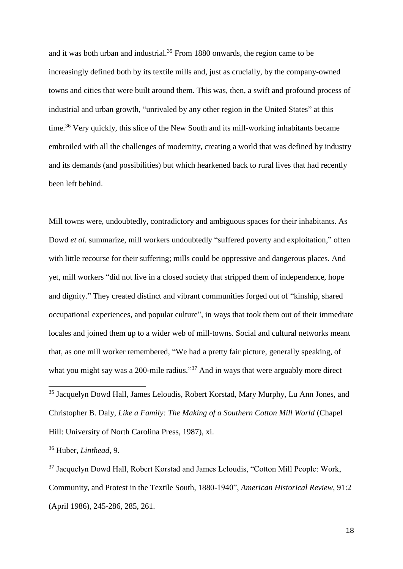and it was both urban and industrial.<sup>35</sup> From 1880 onwards, the region came to be increasingly defined both by its textile mills and, just as crucially, by the company-owned towns and cities that were built around them. This was, then, a swift and profound process of industrial and urban growth, "unrivaled by any other region in the United States" at this time.<sup>36</sup> Very quickly, this slice of the New South and its mill-working inhabitants became embroiled with all the challenges of modernity, creating a world that was defined by industry and its demands (and possibilities) but which hearkened back to rural lives that had recently been left behind.

Mill towns were, undoubtedly, contradictory and ambiguous spaces for their inhabitants. As Dowd *et al.* summarize, mill workers undoubtedly "suffered poverty and exploitation," often with little recourse for their suffering; mills could be oppressive and dangerous places. And yet, mill workers "did not live in a closed society that stripped them of independence, hope and dignity." They created distinct and vibrant communities forged out of "kinship, shared occupational experiences, and popular culture", in ways that took them out of their immediate locales and joined them up to a wider web of mill-towns. Social and cultural networks meant that, as one mill worker remembered, "We had a pretty fair picture, generally speaking, of what you might say was a 200-mile radius."<sup>37</sup> And in ways that were arguably more direct

<sup>35</sup> Jacquelyn Dowd Hall, James Leloudis, Robert Korstad, Mary Murphy, Lu Ann Jones, and Christopher B. Daly, *Like a Family: The Making of a Southern Cotton Mill World* (Chapel Hill: University of North Carolina Press, 1987), xi.

<sup>36</sup> Huber, *Linthead*, 9.

-

<sup>37</sup> Jacquelyn Dowd Hall, Robert Korstad and James Leloudis, "Cotton Mill People: Work, Community, and Protest in the Textile South, 1880-1940", *American Historical Review*, 91:2 (April 1986), 245-286, 285, 261.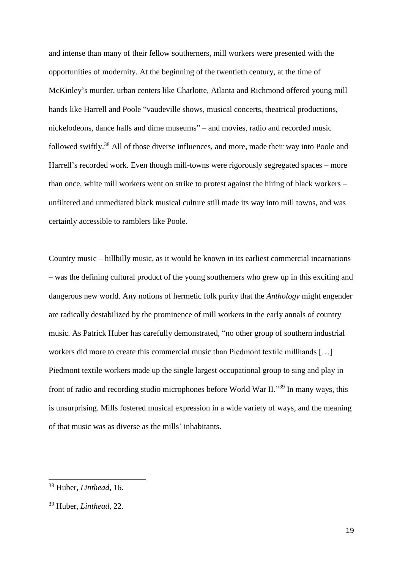and intense than many of their fellow southerners, mill workers were presented with the opportunities of modernity. At the beginning of the twentieth century, at the time of McKinley's murder, urban centers like Charlotte, Atlanta and Richmond offered young mill hands like Harrell and Poole "vaudeville shows, musical concerts, theatrical productions, nickelodeons, dance halls and dime museums" – and movies, radio and recorded music followed swiftly.<sup>38</sup> All of those diverse influences, and more, made their way into Poole and Harrell's recorded work. Even though mill-towns were rigorously segregated spaces – more than once, white mill workers went on strike to protest against the hiring of black workers – unfiltered and unmediated black musical culture still made its way into mill towns, and was certainly accessible to ramblers like Poole.

Country music – hillbilly music, as it would be known in its earliest commercial incarnations – was the defining cultural product of the young southerners who grew up in this exciting and dangerous new world. Any notions of hermetic folk purity that the *Anthology* might engender are radically destabilized by the prominence of mill workers in the early annals of country music. As Patrick Huber has carefully demonstrated, "no other group of southern industrial workers did more to create this commercial music than Piedmont textile millhands […] Piedmont textile workers made up the single largest occupational group to sing and play in front of radio and recording studio microphones before World War II."<sup>39</sup> In many ways, this is unsurprising. Mills fostered musical expression in a wide variety of ways, and the meaning of that music was as diverse as the mills' inhabitants.

<sup>38</sup> Huber, *Linthead*, 16.

<sup>39</sup> Huber, *Linthead*, 22.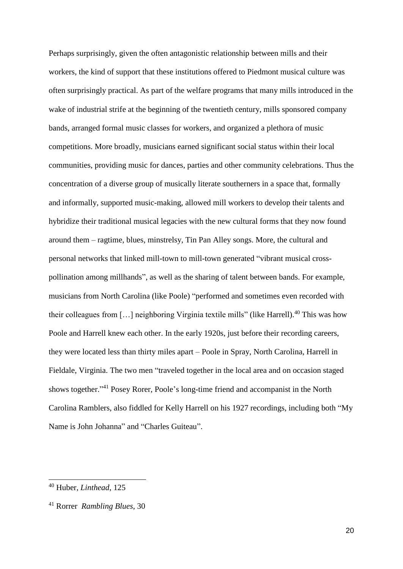Perhaps surprisingly, given the often antagonistic relationship between mills and their workers, the kind of support that these institutions offered to Piedmont musical culture was often surprisingly practical. As part of the welfare programs that many mills introduced in the wake of industrial strife at the beginning of the twentieth century, mills sponsored company bands, arranged formal music classes for workers, and organized a plethora of music competitions. More broadly, musicians earned significant social status within their local communities, providing music for dances, parties and other community celebrations. Thus the concentration of a diverse group of musically literate southerners in a space that, formally and informally, supported music-making, allowed mill workers to develop their talents and hybridize their traditional musical legacies with the new cultural forms that they now found around them – ragtime, blues, minstrelsy, Tin Pan Alley songs. More, the cultural and personal networks that linked mill-town to mill-town generated "vibrant musical crosspollination among millhands", as well as the sharing of talent between bands. For example, musicians from North Carolina (like Poole) "performed and sometimes even recorded with their colleagues from  $[...]$  neighboring Virginia textile mills" (like Harrell).<sup>40</sup> This was how Poole and Harrell knew each other. In the early 1920s, just before their recording careers, they were located less than thirty miles apart – Poole in Spray, North Carolina, Harrell in Fieldale, Virginia. The two men "traveled together in the local area and on occasion staged shows together." <sup>41</sup> Posey Rorer, Poole's long-time friend and accompanist in the North Carolina Ramblers, also fiddled for Kelly Harrell on his 1927 recordings, including both "My Name is John Johanna" and "Charles Guiteau".

<sup>40</sup> Huber, *Linthead*, 125

<sup>41</sup> Rorrer *Rambling Blues*, 30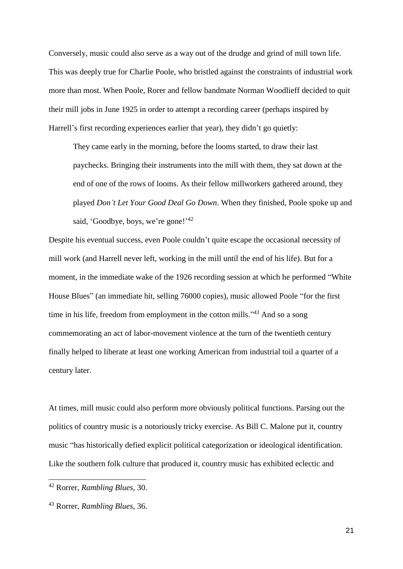Conversely, music could also serve as a way out of the drudge and grind of mill town life. This was deeply true for Charlie Poole, who bristled against the constraints of industrial work more than most. When Poole, Rorer and fellow bandmate Norman Woodlieff decided to quit their mill jobs in June 1925 in order to attempt a recording career (perhaps inspired by Harrell's first recording experiences earlier that year), they didn't go quietly:

They came early in the morning, before the looms started, to draw their last paychecks. Bringing their instruments into the mill with them, they sat down at the end of one of the rows of looms. As their fellow millworkers gathered around, they played *Don't Let Your Good Deal Go Down*. When they finished, Poole spoke up and said, 'Goodbye, boys, we're gone!'<sup>42</sup>

Despite his eventual success, even Poole couldn't quite escape the occasional necessity of mill work (and Harrell never left, working in the mill until the end of his life). But for a moment, in the immediate wake of the 1926 recording session at which he performed "White House Blues" (an immediate hit, selling 76000 copies), music allowed Poole "for the first time in his life, freedom from employment in the cotton mills."<sup>43</sup> And so a song commemorating an act of labor-movement violence at the turn of the twentieth century finally helped to liberate at least one working American from industrial toil a quarter of a century later.

At times, mill music could also perform more obviously political functions. Parsing out the politics of country music is a notoriously tricky exercise. As Bill C. Malone put it, country music "has historically defied explicit political categorization or ideological identification. Like the southern folk culture that produced it, country music has exhibited eclectic and

<sup>42</sup> Rorrer, *Rambling Blues*, 30.

<sup>43</sup> Rorrer, *Rambling Blues*, 36.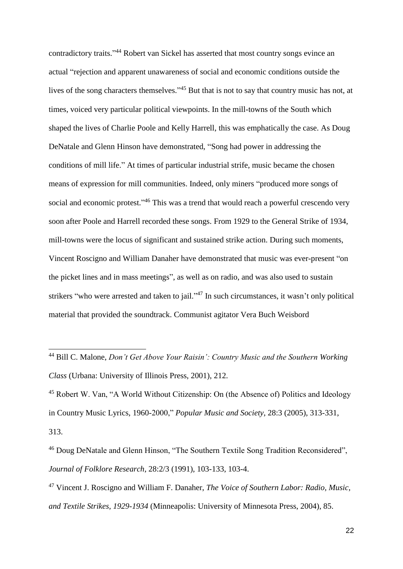contradictory traits." <sup>44</sup> Robert van Sickel has asserted that most country songs evince an actual "rejection and apparent unawareness of social and economic conditions outside the lives of the song characters themselves."<sup>45</sup> But that is not to say that country music has not, at times, voiced very particular political viewpoints. In the mill-towns of the South which shaped the lives of Charlie Poole and Kelly Harrell, this was emphatically the case. As Doug DeNatale and Glenn Hinson have demonstrated, "Song had power in addressing the conditions of mill life." At times of particular industrial strife, music became the chosen means of expression for mill communities. Indeed, only miners "produced more songs of social and economic protest."<sup>46</sup> This was a trend that would reach a powerful crescendo very soon after Poole and Harrell recorded these songs. From 1929 to the General Strike of 1934, mill-towns were the locus of significant and sustained strike action. During such moments, Vincent Roscigno and William Danaher have demonstrated that music was ever-present "on the picket lines and in mass meetings", as well as on radio, and was also used to sustain strikers "who were arrested and taken to jail."<sup>47</sup> In such circumstances, it wasn't only political material that provided the soundtrack. Communist agitator Vera Buch Weisbord

-

<sup>45</sup> Robert W. Van, "A World Without Citizenship: On (the Absence of) Politics and Ideology in Country Music Lyrics, 1960-2000," *Popular Music and Society*, 28:3 (2005), 313-331, 313.

<sup>46</sup> Doug DeNatale and Glenn Hinson, "The Southern Textile Song Tradition Reconsidered", *Journal of Folklore Research*, 28:2/3 (1991), 103-133, 103-4.

<sup>47</sup> Vincent J. Roscigno and William F. Danaher, *The Voice of Southern Labor: Radio, Music, and Textile Strikes, 1929-1934* (Minneapolis: University of Minnesota Press, 2004), 85.

<sup>44</sup> Bill C. Malone, *Don't Get Above Your Raisin': Country Music and the Southern Working Class* (Urbana: University of Illinois Press, 2001), 212.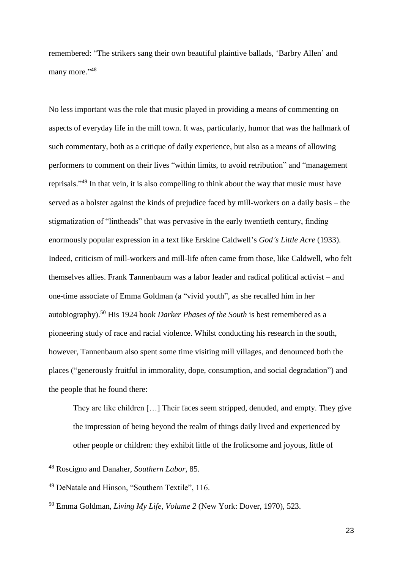remembered: "The strikers sang their own beautiful plaintive ballads, 'Barbry Allen' and many more."<sup>48</sup>

No less important was the role that music played in providing a means of commenting on aspects of everyday life in the mill town. It was, particularly, humor that was the hallmark of such commentary, both as a critique of daily experience, but also as a means of allowing performers to comment on their lives "within limits, to avoid retribution" and "management reprisals."<sup>49</sup> In that vein, it is also compelling to think about the way that music must have served as a bolster against the kinds of prejudice faced by mill-workers on a daily basis – the stigmatization of "lintheads" that was pervasive in the early twentieth century, finding enormously popular expression in a text like Erskine Caldwell's *God's Little Acre* (1933). Indeed, criticism of mill-workers and mill-life often came from those, like Caldwell, who felt themselves allies. Frank Tannenbaum was a labor leader and radical political activist – and one-time associate of Emma Goldman (a "vivid youth", as she recalled him in her autobiography).<sup>50</sup> His 1924 book *Darker Phases of the South* is best remembered as a pioneering study of race and racial violence. Whilst conducting his research in the south, however, Tannenbaum also spent some time visiting mill villages, and denounced both the places ("generously fruitful in immorality, dope, consumption, and social degradation") and the people that he found there:

They are like children […] Their faces seem stripped, denuded, and empty. They give the impression of being beyond the realm of things daily lived and experienced by other people or children: they exhibit little of the frolicsome and joyous, little of

<sup>48</sup> Roscigno and Danaher, *Southern Labor*, 85.

<sup>49</sup> DeNatale and Hinson, "Southern Textile", 116.

<sup>50</sup> Emma Goldman, *Living My Life, Volume 2* (New York: Dover, 1970), 523.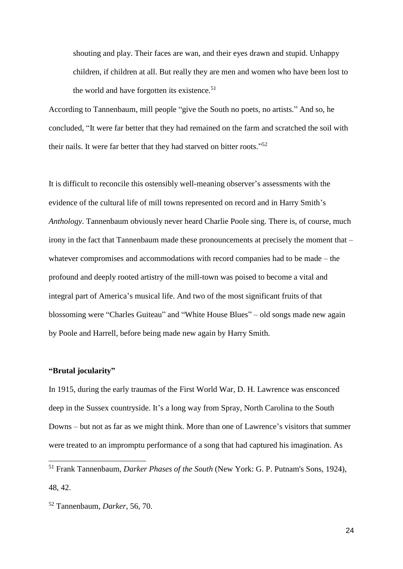shouting and play. Their faces are wan, and their eyes drawn and stupid. Unhappy children, if children at all. But really they are men and women who have been lost to the world and have forgotten its existence.<sup>51</sup>

According to Tannenbaum, mill people "give the South no poets, no artists." And so, he concluded, "It were far better that they had remained on the farm and scratched the soil with their nails. It were far better that they had starved on bitter roots."<sup>52</sup>

It is difficult to reconcile this ostensibly well-meaning observer's assessments with the evidence of the cultural life of mill towns represented on record and in Harry Smith's *Anthology*. Tannenbaum obviously never heard Charlie Poole sing. There is, of course, much irony in the fact that Tannenbaum made these pronouncements at precisely the moment that – whatever compromises and accommodations with record companies had to be made – the profound and deeply rooted artistry of the mill-town was poised to become a vital and integral part of America's musical life. And two of the most significant fruits of that blossoming were "Charles Guiteau" and "White House Blues" – old songs made new again by Poole and Harrell, before being made new again by Harry Smith.

## **"Brutal jocularity"**

-

In 1915, during the early traumas of the First World War, D. H. Lawrence was ensconced deep in the Sussex countryside. It's a long way from Spray, North Carolina to the South Downs – but not as far as we might think. More than one of Lawrence's visitors that summer were treated to an impromptu performance of a song that had captured his imagination. As

<sup>51</sup> Frank Tannenbaum, *Darker Phases of the South* (New York: G. P. Putnam's Sons, 1924), 48, 42.

<sup>52</sup> Tannenbaum, *Darker*, 56, 70.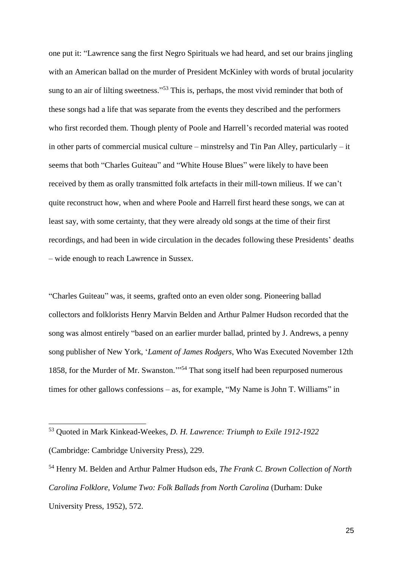one put it: "Lawrence sang the first Negro Spirituals we had heard, and set our brains jingling with an American ballad on the murder of President McKinley with words of brutal jocularity sung to an air of lilting sweetness."<sup>53</sup> This is, perhaps, the most vivid reminder that both of these songs had a life that was separate from the events they described and the performers who first recorded them. Though plenty of Poole and Harrell's recorded material was rooted in other parts of commercial musical culture – minstrelsy and Tin Pan Alley, particularly – it seems that both "Charles Guiteau" and "White House Blues" were likely to have been received by them as orally transmitted folk artefacts in their mill-town milieus. If we can't quite reconstruct how, when and where Poole and Harrell first heard these songs, we can at least say, with some certainty, that they were already old songs at the time of their first recordings, and had been in wide circulation in the decades following these Presidents' deaths – wide enough to reach Lawrence in Sussex.

"Charles Guiteau" was, it seems, grafted onto an even older song. Pioneering ballad collectors and folklorists Henry Marvin Belden and Arthur Palmer Hudson recorded that the song was almost entirely "based on an earlier murder ballad, printed by J. Andrews, a penny song publisher of New York, '*Lament of James Rodgers*, Who Was Executed November 12th 1858, for the Murder of Mr. Swanston.'" <sup>54</sup> That song itself had been repurposed numerous times for other gallows confessions – as, for example, "My Name is John T. Williams" in

<sup>53</sup> Quoted in Mark Kinkead-Weekes, *D. H. Lawrence: Triumph to Exile 1912-1922* (Cambridge: Cambridge University Press), 229.

<sup>54</sup> Henry M. Belden and Arthur Palmer Hudson eds, *The Frank C. Brown Collection of North Carolina Folklore, Volume Two: Folk Ballads from North Carolina* (Durham: Duke University Press, 1952), 572.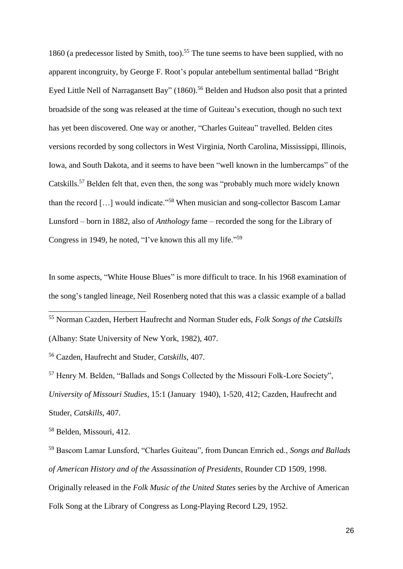1860 (a predecessor listed by Smith, too). <sup>55</sup> The tune seems to have been supplied, with no apparent incongruity, by George F. Root's popular antebellum sentimental ballad "Bright Eyed Little Nell of Narragansett Bay" (1860).<sup>56</sup> Belden and Hudson also posit that a printed broadside of the song was released at the time of Guiteau's execution, though no such text has yet been discovered. One way or another, "Charles Guiteau" travelled. Belden cites versions recorded by song collectors in West Virginia, North Carolina, Mississippi, Illinois, Iowa, and South Dakota, and it seems to have been "well known in the lumbercamps" of the Catskills.<sup>57</sup> Belden felt that, even then, the song was "probably much more widely known than the record […] would indicate."<sup>58</sup> When musician and song-collector Bascom Lamar Lunsford – born in 1882, also of *Anthology* fame – recorded the song for the Library of Congress in 1949, he noted, "I've known this all my life."<sup>59</sup>

In some aspects, "White House Blues" is more difficult to trace. In his 1968 examination of the song's tangled lineage, Neil Rosenberg noted that this was a classic example of a ballad

<sup>55</sup> Norman Cazden, Herbert Haufrecht and Norman Studer eds, *Folk Songs of the Catskills* (Albany: State University of New York, 1982), 407.

<sup>56</sup> Cazden, Haufrecht and Studer, *Catskills*, 407.

<sup>57</sup> Henry M. Belden, "Ballads and Songs Collected by the Missouri Folk-Lore Society", *University of Missouri Studies*, 15:1 (January 1940), 1-520, 412; Cazden, Haufrecht and Studer, *Catskills*, 407.

<sup>58</sup> Belden, Missouri, 412.

-

<sup>59</sup> Bascom Lamar Lunsford, "Charles Guiteau", from Duncan Emrich ed., *Songs and Ballads of American History and of the Assassination of Presidents*, Rounder CD 1509, 1998. Originally released in the *Folk Music of the United States* series by the Archive of American Folk Song at the Library of Congress as Long-Playing Record L29, 1952.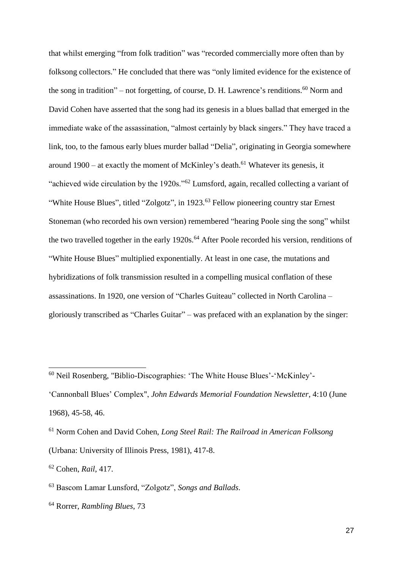that whilst emerging "from folk tradition" was "recorded commercially more often than by folksong collectors." He concluded that there was "only limited evidence for the existence of the song in tradition" – not forgetting, of course, D. H. Lawrence's renditions.<sup>60</sup> Norm and David Cohen have asserted that the song had its genesis in a blues ballad that emerged in the immediate wake of the assassination, "almost certainly by black singers." They have traced a link, too, to the famous early blues murder ballad "Delia", originating in Georgia somewhere around 1900 – at exactly the moment of McKinley's death.<sup>61</sup> Whatever its genesis, it "achieved wide circulation by the 1920s."<sup>62</sup> Lumsford, again, recalled collecting a variant of "White House Blues", titled "Zolgotz", in 1923.<sup>63</sup> Fellow pioneering country star Ernest Stoneman (who recorded his own version) remembered "hearing Poole sing the song" whilst the two travelled together in the early 1920s.<sup>64</sup> After Poole recorded his version, renditions of "White House Blues" multiplied exponentially. At least in one case, the mutations and hybridizations of folk transmission resulted in a compelling musical conflation of these assassinations. In 1920, one version of "Charles Guiteau" collected in North Carolina – gloriously transcribed as "Charles Guitar" – was prefaced with an explanation by the singer:

'Cannonball Blues' Complex", *John Edwards Memorial Foundation Newsletter*, 4:10 (June 1968), 45-58, 46.

<sup>61</sup> Norm Cohen and David Cohen, *Long Steel Rail: The Railroad in American Folksong* (Urbana: University of Illinois Press, 1981), 417-8.

<sup>60</sup> Neil Rosenberg, "Biblio-Discographies: 'The White House Blues'-'McKinley'-

<sup>62</sup> Cohen, *Rail*, 417.

<sup>63</sup> Bascom Lamar Lunsford, "Zolgotz", *Songs and Ballads*.

<sup>64</sup> Rorrer, *Rambling Blues*, 73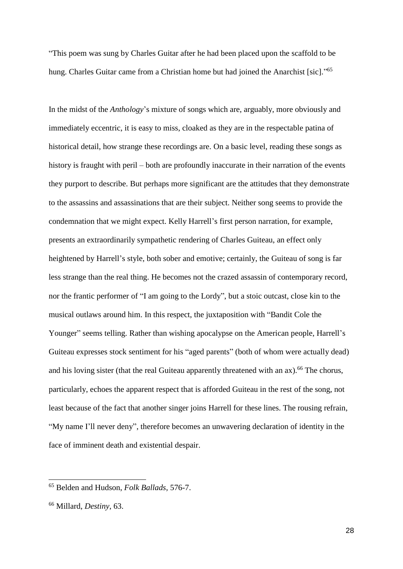"This poem was sung by Charles Guitar after he had been placed upon the scaffold to be hung. Charles Guitar came from a Christian home but had joined the Anarchist [sic]."<sup>65</sup>

In the midst of the *Anthology*'s mixture of songs which are, arguably, more obviously and immediately eccentric, it is easy to miss, cloaked as they are in the respectable patina of historical detail, how strange these recordings are. On a basic level, reading these songs as history is fraught with peril – both are profoundly inaccurate in their narration of the events they purport to describe. But perhaps more significant are the attitudes that they demonstrate to the assassins and assassinations that are their subject. Neither song seems to provide the condemnation that we might expect. Kelly Harrell's first person narration, for example, presents an extraordinarily sympathetic rendering of Charles Guiteau, an effect only heightened by Harrell's style, both sober and emotive; certainly, the Guiteau of song is far less strange than the real thing. He becomes not the crazed assassin of contemporary record, nor the frantic performer of "I am going to the Lordy", but a stoic outcast, close kin to the musical outlaws around him. In this respect, the juxtaposition with "Bandit Cole the Younger" seems telling. Rather than wishing apocalypse on the American people, Harrell's Guiteau expresses stock sentiment for his "aged parents" (both of whom were actually dead) and his loving sister (that the real Guiteau apparently threatened with an  $ax$ ).<sup>66</sup> The chorus, particularly, echoes the apparent respect that is afforded Guiteau in the rest of the song, not least because of the fact that another singer joins Harrell for these lines. The rousing refrain, "My name I'll never deny", therefore becomes an unwavering declaration of identity in the face of imminent death and existential despair.

<sup>65</sup> Belden and Hudson, *Folk Ballads*, 576-7.

<sup>66</sup> Millard, *Destiny*, 63.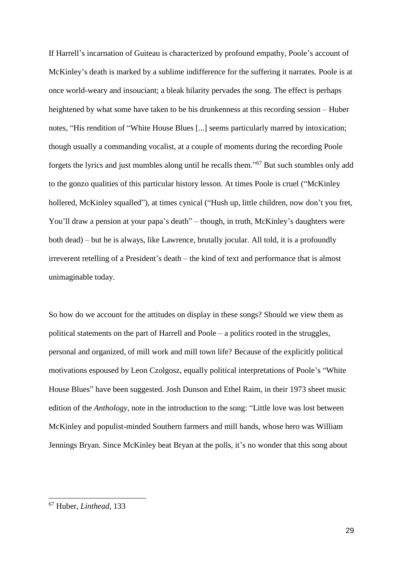If Harrell's incarnation of Guiteau is characterized by profound empathy, Poole's account of McKinley's death is marked by a sublime indifference for the suffering it narrates. Poole is at once world-weary and insouciant; a bleak hilarity pervades the song. The effect is perhaps heightened by what some have taken to be his drunkenness at this recording session – Huber notes, "His rendition of "White House Blues [...] seems particularly marred by intoxication; though usually a commanding vocalist, at a couple of moments during the recording Poole forgets the lyrics and just mumbles along until he recalls them." <sup>67</sup> But such stumbles only add to the gonzo qualities of this particular history lesson. At times Poole is cruel ("McKinley hollered, McKinley squalled"), at times cynical ("Hush up, little children, now don't you fret, You'll draw a pension at your papa's death" – though, in truth, McKinley's daughters were both dead) – but he is always, like Lawrence, brutally jocular. All told, it is a profoundly irreverent retelling of a President's death – the kind of text and performance that is almost unimaginable today.

So how do we account for the attitudes on display in these songs? Should we view them as political statements on the part of Harrell and Poole – a politics rooted in the struggles, personal and organized, of mill work and mill town life? Because of the explicitly political motivations espoused by Leon Czolgosz, equally political interpretations of Poole's "White House Blues" have been suggested. Josh Dunson and Ethel Raim, in their 1973 sheet music edition of the *Anthology*, note in the introduction to the song: "Little love was lost between McKinley and populist-minded Southern farmers and mill hands, whose hero was William Jennings Bryan. Since McKinley beat Bryan at the polls, it's no wonder that this song about

<sup>67</sup> Huber, *Linthead*, 133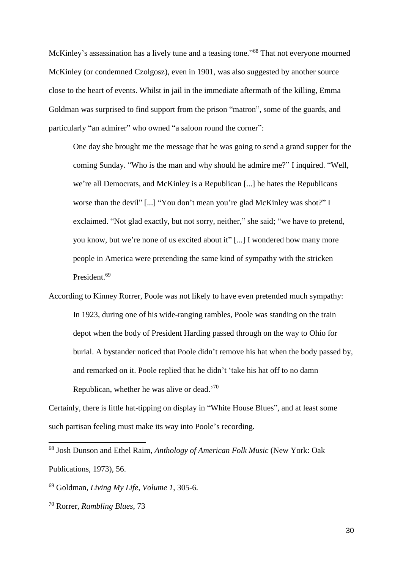McKinley's assassination has a lively tune and a teasing tone."<sup>68</sup> That not everyone mourned McKinley (or condemned Czolgosz), even in 1901, was also suggested by another source close to the heart of events. Whilst in jail in the immediate aftermath of the killing, Emma Goldman was surprised to find support from the prison "matron", some of the guards, and particularly "an admirer" who owned "a saloon round the corner":

One day she brought me the message that he was going to send a grand supper for the coming Sunday. "Who is the man and why should he admire me?" I inquired. "Well, we're all Democrats, and McKinley is a Republican [...] he hates the Republicans worse than the devil" [...] "You don't mean you're glad McKinley was shot?" I exclaimed. "Not glad exactly, but not sorry, neither," she said; "we have to pretend, you know, but we're none of us excited about it" [...] I wondered how many more people in America were pretending the same kind of sympathy with the stricken President.<sup>69</sup>

According to Kinney Rorrer, Poole was not likely to have even pretended much sympathy: In 1923, during one of his wide-ranging rambles, Poole was standing on the train depot when the body of President Harding passed through on the way to Ohio for burial. A bystander noticed that Poole didn't remove his hat when the body passed by, and remarked on it. Poole replied that he didn't 'take his hat off to no damn Republican, whether he was alive or dead.<sup>'70</sup>

Certainly, there is little hat-tipping on display in "White House Blues", and at least some such partisan feeling must make its way into Poole's recording.

<sup>68</sup> Josh Dunson and Ethel Raim, *Anthology of American Folk Music* (New York: Oak Publications, 1973), 56.

<sup>69</sup> Goldman, *Living My Life, Volume 1*, 305-6.

<sup>70</sup> Rorrer, *Rambling Blues*, 73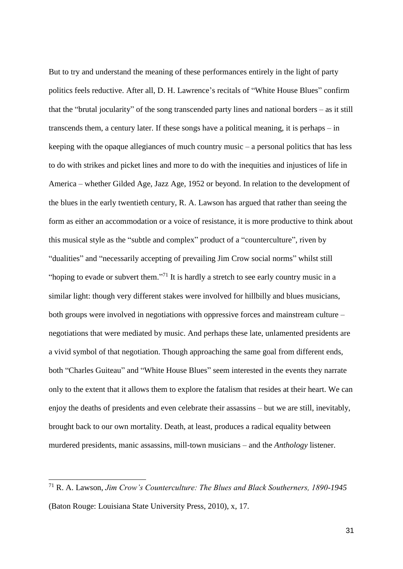But to try and understand the meaning of these performances entirely in the light of party politics feels reductive. After all, D. H. Lawrence's recitals of "White House Blues" confirm that the "brutal jocularity" of the song transcended party lines and national borders – as it still transcends them, a century later. If these songs have a political meaning, it is perhaps – in keeping with the opaque allegiances of much country music – a personal politics that has less to do with strikes and picket lines and more to do with the inequities and injustices of life in America – whether Gilded Age, Jazz Age, 1952 or beyond. In relation to the development of the blues in the early twentieth century, R. A. Lawson has argued that rather than seeing the form as either an accommodation or a voice of resistance, it is more productive to think about this musical style as the "subtle and complex" product of a "counterculture", riven by "dualities" and "necessarily accepting of prevailing Jim Crow social norms" whilst still "hoping to evade or subvert them."<sup>71</sup> It is hardly a stretch to see early country music in a similar light: though very different stakes were involved for hillbilly and blues musicians, both groups were involved in negotiations with oppressive forces and mainstream culture – negotiations that were mediated by music. And perhaps these late, unlamented presidents are a vivid symbol of that negotiation. Though approaching the same goal from different ends, both "Charles Guiteau" and "White House Blues" seem interested in the events they narrate only to the extent that it allows them to explore the fatalism that resides at their heart. We can enjoy the deaths of presidents and even celebrate their assassins – but we are still, inevitably, brought back to our own mortality. Death, at least, produces a radical equality between murdered presidents, manic assassins, mill-town musicians – and the *Anthology* listener.

<sup>71</sup> R. A. Lawson, *Jim Crow's Counterculture: The Blues and Black Southerners, 1890-1945* (Baton Rouge: Louisiana State University Press, 2010), x, 17.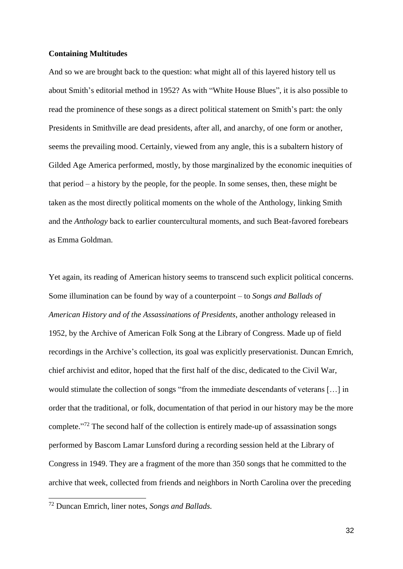## **Containing Multitudes**

And so we are brought back to the question: what might all of this layered history tell us about Smith's editorial method in 1952? As with "White House Blues", it is also possible to read the prominence of these songs as a direct political statement on Smith's part: the only Presidents in Smithville are dead presidents, after all, and anarchy, of one form or another, seems the prevailing mood. Certainly, viewed from any angle, this is a subaltern history of Gilded Age America performed, mostly, by those marginalized by the economic inequities of that period – a history by the people, for the people. In some senses, then, these might be taken as the most directly political moments on the whole of the Anthology, linking Smith and the *Anthology* back to earlier countercultural moments, and such Beat-favored forebears as Emma Goldman.

Yet again, its reading of American history seems to transcend such explicit political concerns. Some illumination can be found by way of a counterpoint – to *Songs and Ballads of American History and of the Assassinations of Presidents*, another anthology released in 1952, by the Archive of American Folk Song at the Library of Congress. Made up of field recordings in the Archive's collection, its goal was explicitly preservationist. Duncan Emrich, chief archivist and editor, hoped that the first half of the disc, dedicated to the Civil War, would stimulate the collection of songs "from the immediate descendants of veterans […] in order that the traditional, or folk, documentation of that period in our history may be the more complete."<sup>72</sup> The second half of the collection is entirely made-up of assassination songs performed by Bascom Lamar Lunsford during a recording session held at the Library of Congress in 1949. They are a fragment of the more than 350 songs that he committed to the archive that week, collected from friends and neighbors in North Carolina over the preceding

<sup>72</sup> Duncan Emrich, liner notes, *Songs and Ballads.*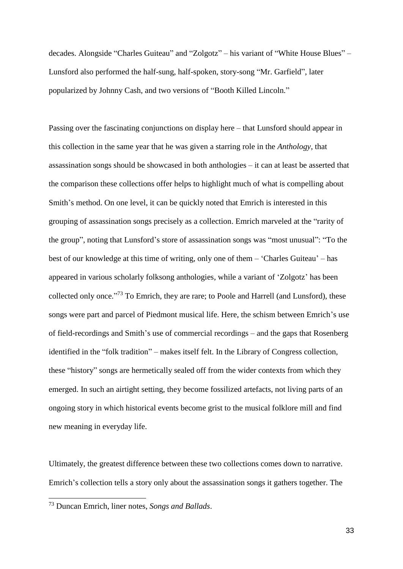decades. Alongside "Charles Guiteau" and "Zolgotz" – his variant of "White House Blues" – Lunsford also performed the half-sung, half-spoken, story-song "Mr. Garfield", later popularized by Johnny Cash, and two versions of "Booth Killed Lincoln."

Passing over the fascinating conjunctions on display here – that Lunsford should appear in this collection in the same year that he was given a starring role in the *Anthology*, that assassination songs should be showcased in both anthologies – it can at least be asserted that the comparison these collections offer helps to highlight much of what is compelling about Smith's method. On one level, it can be quickly noted that Emrich is interested in this grouping of assassination songs precisely as a collection. Emrich marveled at the "rarity of the group", noting that Lunsford's store of assassination songs was "most unusual": "To the best of our knowledge at this time of writing, only one of them – 'Charles Guiteau' – has appeared in various scholarly folksong anthologies, while a variant of 'Zolgotz' has been collected only once."<sup>73</sup> To Emrich, they are rare; to Poole and Harrell (and Lunsford), these songs were part and parcel of Piedmont musical life. Here, the schism between Emrich's use of field-recordings and Smith's use of commercial recordings – and the gaps that Rosenberg identified in the "folk tradition" – makes itself felt. In the Library of Congress collection, these "history" songs are hermetically sealed off from the wider contexts from which they emerged. In such an airtight setting, they become fossilized artefacts, not living parts of an ongoing story in which historical events become grist to the musical folklore mill and find new meaning in everyday life.

Ultimately, the greatest difference between these two collections comes down to narrative. Emrich's collection tells a story only about the assassination songs it gathers together. The

<sup>73</sup> Duncan Emrich, liner notes, *Songs and Ballads*.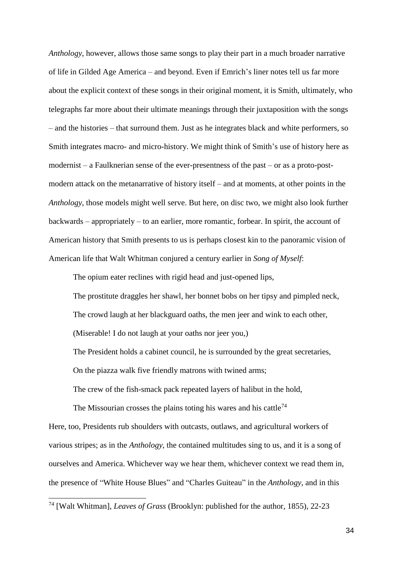*Anthology*, however, allows those same songs to play their part in a much broader narrative of life in Gilded Age America – and beyond. Even if Emrich's liner notes tell us far more about the explicit context of these songs in their original moment, it is Smith, ultimately, who telegraphs far more about their ultimate meanings through their juxtaposition with the songs – and the histories – that surround them. Just as he integrates black and white performers, so Smith integrates macro- and micro-history. We might think of Smith's use of history here as modernist – a Faulknerian sense of the ever-presentness of the past – or as a proto-postmodern attack on the metanarrative of history itself – and at moments, at other points in the *Anthology*, those models might well serve. But here, on disc two, we might also look further backwards – appropriately – to an earlier, more romantic, forbear. In spirit, the account of American history that Smith presents to us is perhaps closest kin to the panoramic vision of American life that Walt Whitman conjured a century earlier in *Song of Myself*:

The opium eater reclines with rigid head and just-opened lips,

The prostitute draggles her shawl, her bonnet bobs on her tipsy and pimpled neck,

The crowd laugh at her blackguard oaths, the men jeer and wink to each other,

(Miserable! I do not laugh at your oaths nor jeer you,)

The President holds a cabinet council, he is surrounded by the great secretaries,

On the piazza walk five friendly matrons with twined arms;

The crew of the fish-smack pack repeated layers of halibut in the hold,

The Missourian crosses the plains toting his wares and his cattle<sup>74</sup> Here, too, Presidents rub shoulders with outcasts, outlaws, and agricultural workers of various stripes; as in the *Anthology*, the contained multitudes sing to us, and it is a song of ourselves and America. Whichever way we hear them, whichever context we read them in, the presence of "White House Blues" and "Charles Guiteau" in the *Anthology*, and in this

<sup>74</sup> [Walt Whitman], *Leaves of Grass* (Brooklyn: published for the author, 1855), 22-23